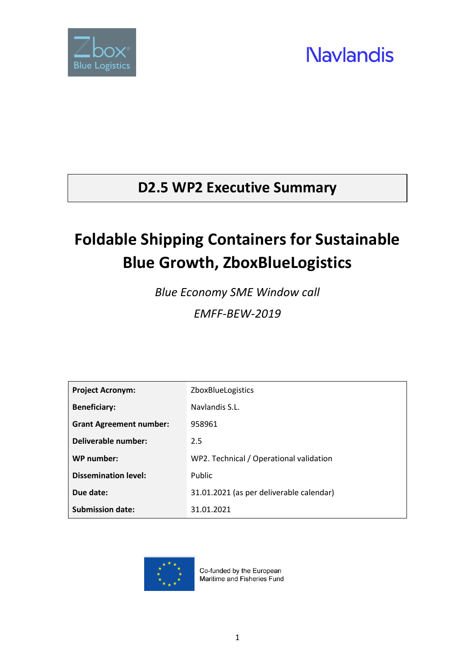

#### **D2.5 WP2 Executive Summary**

### **Foldable Shipping Containers for Sustainable Blue Growth, ZboxBlueLogistics**

*Blue Economy SME Window call EMFF-BEW-2019*

| <b>Project Acronym:</b>        | <b>ZboxBlueLogistics</b>                 |
|--------------------------------|------------------------------------------|
| <b>Beneficiary:</b>            | Navlandis S.L.                           |
| <b>Grant Agreement number:</b> | 958961                                   |
| Deliverable number:            | 2.5                                      |
| WP number:                     | WP2. Technical / Operational validation  |
| <b>Dissemination level:</b>    | Public                                   |
| Due date:                      | 31.01.2021 (as per deliverable calendar) |
| <b>Submission date:</b>        | 31.01.2021                               |



Co-funded by the European Maritime and Fisheries Fund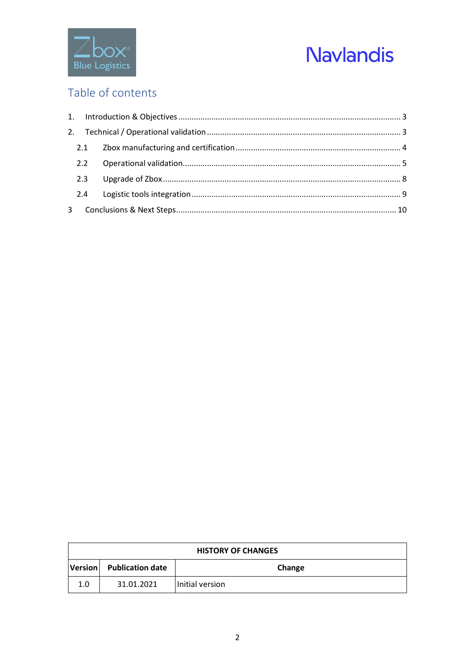

#### Table of contents

|   | 2.3 |  |  |  |
|---|-----|--|--|--|
|   |     |  |  |  |
| 3 |     |  |  |  |

| <b>HISTORY OF CHANGES</b> |                          |                 |  |
|---------------------------|--------------------------|-----------------|--|
|                           | Version Publication date | Change          |  |
| 1.0                       | 31.01.2021               | Initial version |  |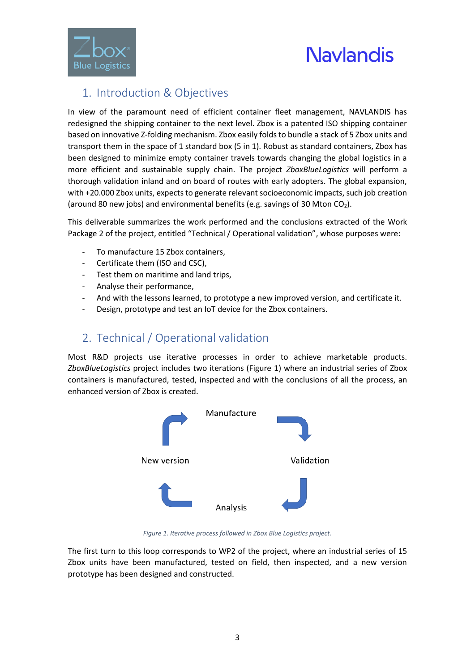

#### <span id="page-2-0"></span>1. Introduction & Objectives

In view of the paramount need of efficient container fleet management, NAVLANDIS has redesigned the shipping container to the next level. Zbox is a patented ISO shipping container based on innovative Z-folding mechanism. Zbox easily folds to bundle a stack of 5 Zbox units and transport them in the space of 1 standard box (5 in 1). Robust as standard containers, Zbox has been designed to minimize empty container travels towards changing the global logistics in a more efficient and sustainable supply chain. The project *ZboxBlueLogistics* will perform a thorough validation inland and on board of routes with early adopters. The global expansion, with +20.000 Zbox units, expects to generate relevant socioeconomic impacts, such job creation (around 80 new jobs) and environmental benefits (e.g. savings of 30 Mton  $CO<sub>2</sub>$ ).

This deliverable summarizes the work performed and the conclusions extracted of the Work Package 2 of the project, entitled "Technical / Operational validation", whose purposes were:

- To manufacture 15 Zbox containers,
- Certificate them (ISO and CSC),
- Test them on maritime and land trips,
- Analyse their performance,
- And with the lessons learned, to prototype a new improved version, and certificate it.
- Design, prototype and test an IoT device for the Zbox containers.

#### <span id="page-2-1"></span>2. Technical / Operational validation

Most R&D projects use iterative processes in order to achieve marketable products. *ZboxBlueLogistics* project includes two iterations [\(Figure 1\)](#page-2-2) where an industrial series of Zbox containers is manufactured, tested, inspected and with the conclusions of all the process, an enhanced version of Zbox is created.



*Figure 1. Iterative process followed in Zbox Blue Logistics project.*

<span id="page-2-2"></span>The first turn to this loop corresponds to WP2 of the project, where an industrial series of 15 Zbox units have been manufactured, tested on field, then inspected, and a new version prototype has been designed and constructed.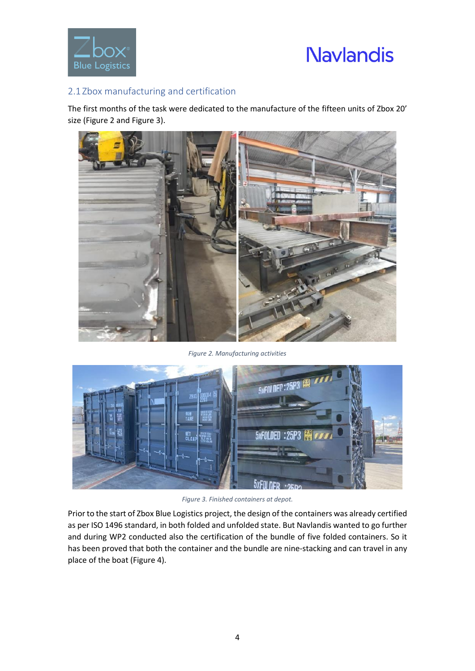

#### <span id="page-3-0"></span>2.1 Zbox manufacturing and certification

The first months of the task were dedicated to the manufacture of the fifteen units of Zbox 20' size [\(Figure 2](#page-3-1) and [Figure 3\)](#page-3-2).



*Figure 2. Manufacturing activities*

<span id="page-3-1"></span>

*Figure 3. Finished containers at depot.*

<span id="page-3-2"></span>Prior to the start of Zbox Blue Logistics project, the design of the containers was already certified as per ISO 1496 standard, in both folded and unfolded state. But Navlandis wanted to go further and during WP2 conducted also the certification of the bundle of five folded containers. So it has been proved that both the container and the bundle are nine-stacking and can travel in any place of the boat [\(Figure 4\)](#page-4-1).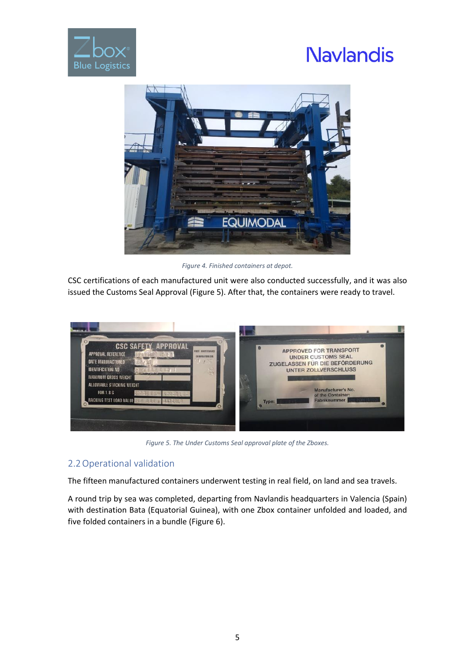



*Figure 4. Finished containers at depot.*

<span id="page-4-1"></span>CSC certifications of each manufactured unit were also conducted successfully, and it was also issued the Customs Seal Approval [\(Figure 5\)](#page-4-2). After that, the containers were ready to travel.



*Figure 5. The Under Customs Seal approval plate of the Zboxes.*

#### <span id="page-4-2"></span><span id="page-4-0"></span>2.2Operational validation

The fifteen manufactured containers underwent testing in real field, on land and sea travels.

A round trip by sea was completed, departing from Navlandis headquarters in Valencia (Spain) with destination Bata (Equatorial Guinea), with one Zbox container unfolded and loaded, and five folded containers in a bundle [\(Figure 6\)](#page-5-0).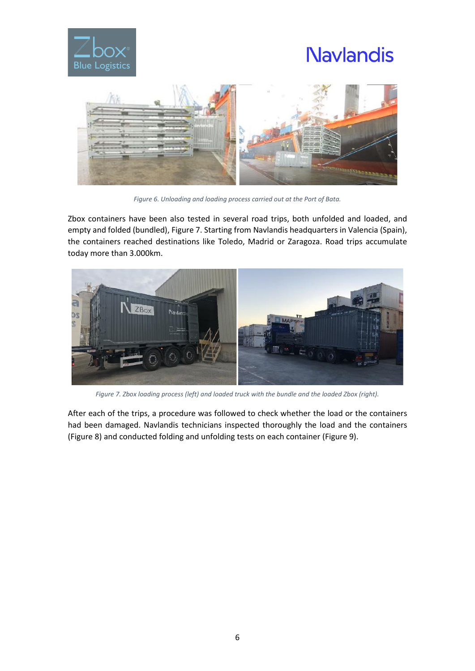



*Figure 6. Unloading and loading process carried out at the Port of Bata.*

<span id="page-5-0"></span>Zbox containers have been also tested in several road trips, both unfolded and loaded, and empty and folded (bundled), [Figure 7.](#page-5-1) Starting from Navlandis headquarters in Valencia (Spain), the containers reached destinations like Toledo, Madrid or Zaragoza. Road trips accumulate today more than 3.000km.



*Figure 7. Zbox loading process (left) and loaded truck with the bundle and the loaded Zbox (right).*

<span id="page-5-1"></span>After each of the trips, a procedure was followed to check whether the load or the containers had been damaged. Navlandis technicians inspected thoroughly the load and the containers [\(Figure 8\)](#page-6-0) and conducted folding and unfolding tests on each container [\(Figure 9\)](#page-6-1).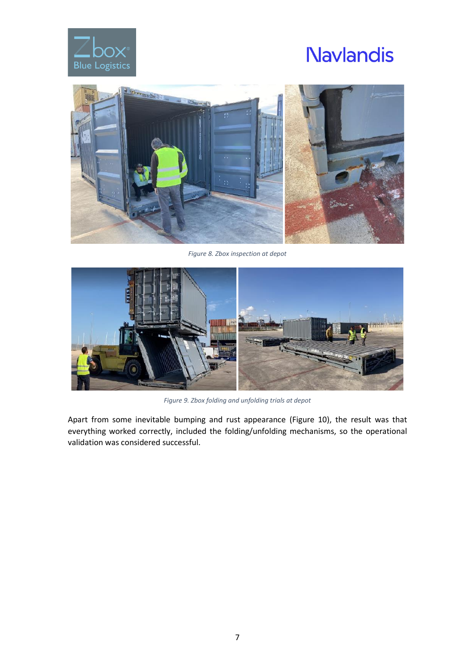



*Figure 8. Zbox inspection at depot*

<span id="page-6-0"></span>

*Figure 9. Zbox folding and unfolding trials at depot*

<span id="page-6-1"></span>Apart from some inevitable bumping and rust appearance [\(Figure 10\)](#page-7-1), the result was that everything worked correctly, included the folding/unfolding mechanisms, so the operational validation was considered successful.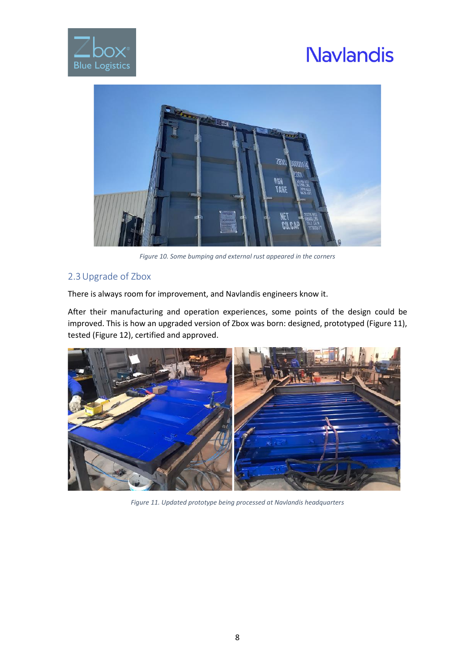



*Figure 10. Some bumping and external rust appeared in the corners*

#### <span id="page-7-1"></span><span id="page-7-0"></span>2.3Upgrade of Zbox

There is always room for improvement, and Navlandis engineers know it.

After their manufacturing and operation experiences, some points of the design could be improved. This is how an upgraded version of Zbox was born: designed, prototyped [\(Figure 11\)](#page-7-2), tested [\(Figure 12\)](#page-8-1), certified and approved.

<span id="page-7-2"></span>

*Figure 11. Updated prototype being processed at Navlandis headquarters*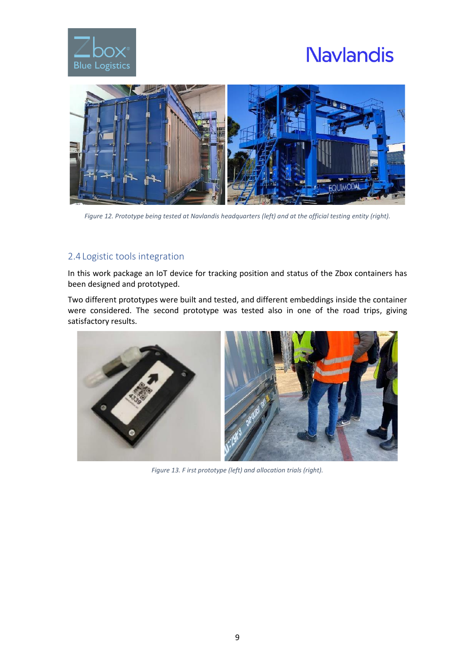



*Figure 12. Prototype being tested at Navlandis headquarters (left) and at the official testing entity (right).*

#### <span id="page-8-1"></span><span id="page-8-0"></span>2.4 Logistic tools integration

In this work package an IoT device for tracking position and status of the Zbox containers has been designed and prototyped.

Two different prototypes were built and tested, and different embeddings inside the container were considered. The second prototype was tested also in one of the road trips, giving satisfactory results.



*Figure 13. F irst prototype (left) and allocation trials (right).*